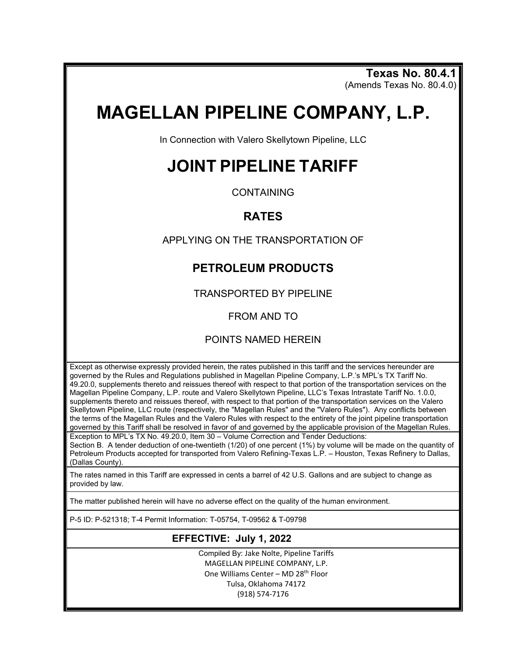**Texas No. 80.4.1** (Amends Texas No. 80.4.0)

# **MAGELLAN PIPELINE COMPANY, L.P.**

In Connection with Valero Skellytown Pipeline, LLC

## **JOINT PIPELINE TARIFF**

**CONTAINING** 

### **RATES**

APPLYING ON THE TRANSPORTATION OF

## **PETROLEUM PRODUCTS**

TRANSPORTED BY PIPELINE

FROM AND TO

#### POINTS NAMED HEREIN

Except as otherwise expressly provided herein, the rates published in this tariff and the services hereunder are governed by the Rules and Regulations published in Magellan Pipeline Company, L.P.'s MPL's TX Tariff No. 49.20.0, supplements thereto and reissues thereof with respect to that portion of the transportation services on the Magellan Pipeline Company, L.P. route and Valero Skellytown Pipeline, LLC's Texas Intrastate Tariff No. 1.0.0, supplements thereto and reissues thereof, with respect to that portion of the transportation services on the Valero Skellytown Pipeline, LLC route (respectively, the "Magellan Rules" and the "Valero Rules"). Any conflicts between the terms of the Magellan Rules and the Valero Rules with respect to the entirety of the joint pipeline transportation governed by this Tariff shall be resolved in favor of and governed by the applicable provision of the Magellan Rules.

Exception to MPL's TX No. 49.20.0, Item 30 – Volume Correction and Tender Deductions: Section B. A tender deduction of one-twentieth (1/20) of one percent (1%) by volume will be made on the quantity of Petroleum Products accepted for transported from Valero Refining-Texas L.P. – Houston, Texas Refinery to Dallas, (Dallas County).

The rates named in this Tariff are expressed in cents a barrel of 42 U.S. Gallons and are subject to change as provided by law.

The matter published herein will have no adverse effect on the quality of the human environment.

P-5 ID: P-521318; T-4 Permit Information: T-05754, T-09562 & T-09798

#### **EFFECTIVE: July 1, 2022**

Compiled By: Jake Nolte, Pipeline Tariffs MAGELLAN PIPELINE COMPANY, L.P. One Williams Center - MD 28<sup>th</sup> Floor Tulsa, Oklahoma 74172 (918) 574-7176